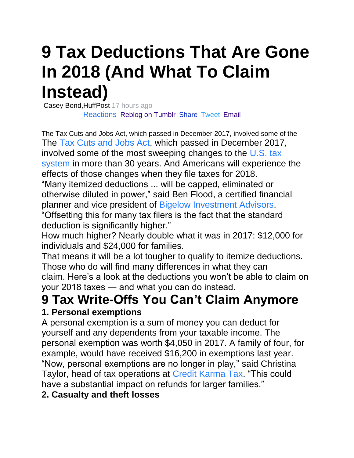# **9 Tax Deductions That Are Gone In 2018 (And What To Claim Instead)**

[C](http://www.huffpost.com/)asey Bond,HuffPost 17 hours ago Reactions [Reblog on Tumblr](https://www.tumblr.com/widgets/share/tool?shareSource=legacy&canonicalUrl=&posttype=link&url=https%3A%2F%2Fnews.yahoo.com%2F9-tax-deductions-gone-2018-184712788.html&title=9%20Tax%20Deductions%20That%20Are%20Gone%20In%202018%20(And%20What%20To%20Claim%20Instead)) [Share](https://www.facebook.com/dialog/feed?app_id=90376669494&link=https%3A%2F%2Fwww.yahoo.com%2Ffinance%2Fnews%2Fknow-taxes-rental-income-041909115.html%3F.tsrc%3Dfauxdal&name=What%20You%20Need%20to%20Know%20About%20Taxes%20on%20Rental%20Income&tsrc=fb) [Tweet](https://twitter.com/intent/tweet?text=What%20You%20Need%20to%20Know%20About%20Taxes%20on%20Rental%20Income&url=https%3A%2F%2Fwww.yahoo.com%2Ffinance%2Fnews%2Fknow-taxes-rental-income-041909115.html%3F.tsrc%3Dfauxdal&tsrc=twtr) [Email](mailto:?subject=What%20You%20Need%20to%20Know%20About%20Taxes%20on%20Rental%20Income&body=https%3A%2F%2Fwww.yahoo.com%2Ffinance%2Fnews%2Fknow-taxes-rental-income-041909115.html%3F.tsrc%3Dfauxdal&.tsrc=fauxdal)

The Tax Cuts and Jobs Act, which passed in December 2017, involved some of the The [Tax Cuts and Jobs Act,](https://www.huffingtonpost.com/topic/taxes) which passed in December 2017, involved some of the most sweeping changes to the [U.S. tax](https://www.huffingtonpost.com/topic/personal-taxes)  [system](https://www.huffingtonpost.com/topic/personal-taxes) in more than 30 years. And Americans will experience the effects of those changes when they file taxes for 2018.

"Many itemized deductions ... will be capped, eliminated or otherwise diluted in power," said Ben Flood, a certified financial planner and vice president of [Bigelow Investment Advisors.](https://www.bigelowadvisors.com/)

"Offsetting this for many tax filers is the fact that the standard deduction is significantly higher."

How much higher? Nearly double what it was in 2017: \$12,000 for individuals and \$24,000 for families.

That means it will be a lot tougher to qualify to itemize deductions. Those who do will find many differences in what they can claim. Here's a look at the deductions you won't be able to claim on your 2018 taxes ― and what you can do instead.

# **9 Tax Write-Offs You Can't Claim Anymore**

#### **1. Personal exemptions**

A personal exemption is a sum of money you can deduct for yourself and any dependents from your taxable income. The personal exemption was worth \$4,050 in 2017. A family of four, for example, would have received \$16,200 in exemptions last year. "Now, personal exemptions are no longer in play," said Christina Taylor, head of tax operations at [Credit Karma Tax.](https://www.creditkarma.com/tax) "This could have a substantial impact on refunds for larger families."

#### **2. Casualty and theft losses**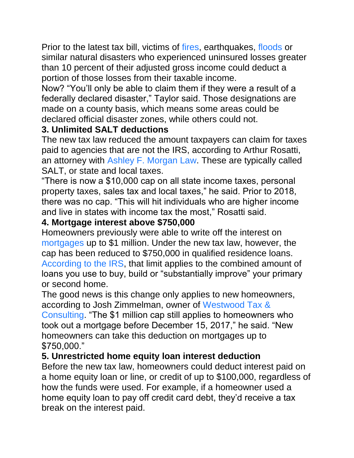Prior to the latest tax bill, victims of [fires,](https://www.huffpost.com/entry/fire-insurance_n_5bea147ee4b0caeec2bcadf1) earthquakes, [floods](https://www.huffpost.com/entry/flood-insurance-could-save-homeowners-from-financial-ruin-so-why-dont-we-all-have-it_n_59aebe9ae4b0b5e531010f2e) or similar natural disasters who experienced uninsured losses greater than 10 percent of their adjusted gross income could deduct a portion of those losses from their taxable income.

Now? "You'll only be able to claim them if they were a result of a federally declared disaster," Taylor said. Those designations are made on a county basis, which means some areas could be declared official disaster zones, while others could not.

#### **3. Unlimited SALT deductions**

The new tax law reduced the amount taxpayers can claim for taxes paid to agencies that are not the IRS, according to Arthur Rosatti, an attorney with [Ashley F. Morgan Law.](https://www.afmorganlaw.com/) These are typically called SALT, or state and local taxes.

"There is now a \$10,000 cap on all state income taxes, personal property taxes, sales tax and local taxes," he said. Prior to 2018, there was no cap. "This will hit individuals who are higher income and live in states with income tax the most," Rosatti said.

#### **4. Mortgage interest above \$750,000**

Homeowners previously were able to write off the interest on [mortgages](https://www.huffpost.com/life/topic/mortgages) up to \$1 million. Under the new tax law, however, the cap has been reduced to \$750,000 in qualified residence loans. [According to the IRS,](https://www.irs.gov/newsroom/interest-on-home-equity-loans-often-still-deductible-under-new-law) that limit applies to the combined amount of loans you use to buy, build or "substantially improve" your primary or second home.

The good news is this change only applies to new homeowners, according to Josh Zimmelman, owner of [Westwood Tax &](https://www.westwoodtax.com/) 

[Consulting.](https://www.westwoodtax.com/) "The \$1 million cap still applies to homeowners who took out a mortgage before December 15, 2017," he said. "New homeowners can take this deduction on mortgages up to \$750,000."

#### **5. Unrestricted home equity loan interest deduction**

Before the new tax law, homeowners could deduct interest paid on a home equity loan or line, or credit of up to \$100,000, regardless of how the funds were used. For example, if a homeowner used a home equity loan to pay off credit card debt, they'd receive a tax break on the interest paid.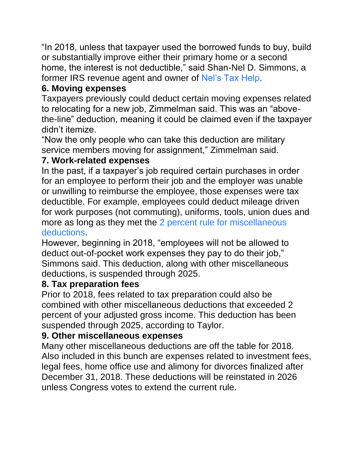"In 2018, unless that taxpayer used the borrowed funds to buy, build or substantially improve either their primary home or a second home, the interest is not deductible," said Shan-Nel D. Simmons, a former IRS revenue agent and owner of [Nel's Tax Help.](http://www.nelstaxhelp.com/)

#### **6. Moving expenses**

Taxpayers previously could deduct certain moving expenses related to relocating for a new job, Zimmelman said. This was an "abovethe-line" deduction, meaning it could be claimed even if the taxpayer didn't itemize.

"Now the only people who can take this deduction are military service members moving for assignment," Zimmelman said.

#### **7. Work-related expenses**

In the past, if a taxpayer's job required certain purchases in order for an employee to perform their job and the employer was unable or unwilling to reimburse the employee, those expenses were tax deductible. For example, employees could deduct mileage driven for work purposes (not commuting), uniforms, tools, union dues and more as long as they met the [2 percent rule for miscellaneous](https://ttlc.intuit.com/questions/2902781-what-is-the-2-rule)  [deductions.](https://ttlc.intuit.com/questions/2902781-what-is-the-2-rule)

However, beginning in 2018, "employees will not be allowed to deduct out-of-pocket work expenses they pay to do their job," Simmons said. This deduction, along with other miscellaneous deductions, is suspended through 2025.

#### **8. Tax preparation fees**

Prior to 2018, fees related to tax preparation could also be combined with other miscellaneous deductions that exceeded 2 percent of your adjusted gross income. This deduction has been suspended through 2025, according to Taylor.

#### **9. Other miscellaneous expenses**

Many other miscellaneous deductions are off the table for 2018. Also included in this bunch are expenses related to investment fees, legal fees, home office use and alimony for divorces finalized after December 31, 2018. These deductions will be reinstated in 2026 unless Congress votes to extend the current rule.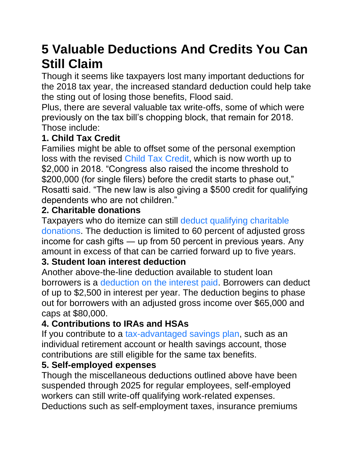# **5 Valuable Deductions And Credits You Can Still Claim**

Though it seems like taxpayers lost many important deductions for the 2018 tax year, the increased standard deduction could help take the sting out of losing those benefits, Flood said.

Plus, there are several valuable tax write-offs, some of which were previously on the tax bill's chopping block, that remain for 2018. Those include:

#### **1. Child Tax Credit**

Families might be able to offset some of the personal exemption loss with the revised [Child Tax Credit,](https://www.huffingtonpost.com/topic/child-tax-credit) which is now worth up to \$2,000 in 2018. "Congress also raised the income threshold to \$200,000 (for single filers) before the credit starts to phase out," Rosatti said. "The new law is also giving a \$500 credit for qualifying dependents who are not children."

#### **2. Charitable donations**

Taxpayers who do itemize can still [deduct qualifying charitable](https://www.cnbc.com/2018/01/04/bunching-charitable-donations-could-help-you-save-on-taxes-this-year.html)  [donations.](https://www.cnbc.com/2018/01/04/bunching-charitable-donations-could-help-you-save-on-taxes-this-year.html) The deduction is limited to 60 percent of adjusted gross income for cash gifts ― up from 50 percent in previous years. Any amount in excess of that can be carried forward up to five years.

#### **3. Student loan interest deduction**

Another above-the-line deduction available to student loan borrowers is a [deduction on the interest paid.](https://www.huffpost.com/entry/student-loan-interest-ded_b_7486888) Borrowers can deduct of up to \$2,500 in interest per year. The deduction begins to phase out for borrowers with an adjusted gross income over \$65,000 and caps at \$80,000.

#### **4. Contributions to IRAs and HSAs**

If you contribute to a [tax-advantaged savings plan,](https://www.huffpost.com/entry/retirement-savings-401k-alternatives_n_5c2539efe4b05c88b6fe9a94) such as an individual retirement account or health savings account, those contributions are still eligible for the same tax benefits.

#### **5. Self-employed expenses**

Though the miscellaneous deductions outlined above have been suspended through 2025 for regular employees, self-employed workers can still write-off qualifying work-related expenses. Deductions such as self-employment taxes, insurance premiums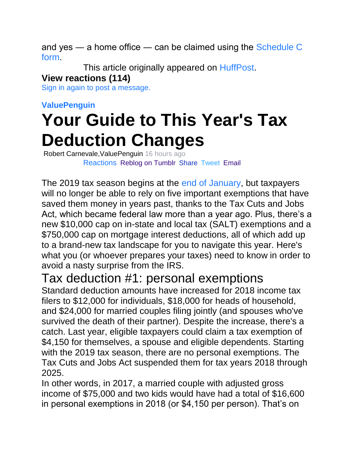and yes ― a home office ― can be claimed using the [Schedule C](https://www.irs.gov/forms-pubs/about-schedule-c-form-1040)  [form.](https://www.irs.gov/forms-pubs/about-schedule-c-form-1040)

This article originally appeared on [HuffPost.](https://www.huffpost.com/entry/tax-deductions-2018-2019_n_5c2d64e4e4b05c88b7059bf6)

#### **View reactions (114)**

[Sign in again to post a message.](https://login.yahoo.com/?.intl=us&.lang=en-US&.done=https%3A%2F%2Fnews.yahoo.com%2F9-tax-deductions-gone-2018-184712788.html%3Fbcmt%3D1)

#### **ValuePenguin**

# **Your Guide to This Year's Tax Deduction Changes**

[R](https://www.valuepenguin.com/)obert Carnevale,ValuePenguin 16 hours ago Reactions [Reblog on Tumblr](https://www.tumblr.com/widgets/share/tool?shareSource=legacy&canonicalUrl=&posttype=link&url=https%3A%2F%2Ffinance.yahoo.com%2Fnews%2Fguide-years-tax-deduction-changes-194913779.html&title=Your%20Guide%20to%20This%20Year%26%2339%3Bs%20Tax%20Deduction%20Changes) [Share](https://www.facebook.com/dialog/feed?app_id=90376669494&link=https%3A%2F%2Fwww.yahoo.com%2Ffinance%2Fnews%2Fguide-years-tax-deduction-changes-194913779.html%3F.tsrc%3Dfauxdal&name=Your%20Guide%20to%20This%20Year%27s%20Tax%20Deduction%20Changes&tsrc=fb) [Tweet](https://twitter.com/intent/tweet?text=Your%20Guide%20to%20This%20Year%27s%20Tax%20Deduction%20Changes&url=https%3A%2F%2Fwww.yahoo.com%2Ffinance%2Fnews%2Fguide-years-tax-deduction-changes-194913779.html%3F.tsrc%3Dfauxdal&tsrc=twtr) [Email](mailto:?subject=Your%20Guide%20to%20This%20Year)

The 2019 tax season begins at the [end of January,](https://www.valuepenguin.com/personal-finance/tax-due-dates) but taxpayers will no longer be able to rely on five important exemptions that have saved them money in years past, thanks to the Tax Cuts and Jobs Act, which became federal law more than a year ago. Plus, there's a new \$10,000 cap on in-state and local tax (SALT) exemptions and a \$750,000 cap on mortgage interest deductions, all of which add up to a brand-new tax landscape for you to navigate this year. Here's what you (or whoever prepares your taxes) need to know in order to avoid a nasty surprise from the IRS.

### Tax deduction #1: personal exemptions

Standard deduction amounts have increased for 2018 income tax filers to \$12,000 for individuals, \$18,000 for heads of household, and \$24,000 for married couples filing jointly (and spouses who've survived the death of their partner). Despite the increase, there's a catch. Last year, eligible taxpayers could claim a tax exemption of \$4,150 for themselves, a spouse and eligible dependents. Starting with the 2019 tax season, there are no personal exemptions. The Tax Cuts and Jobs Act suspended them for tax years 2018 through 2025.

In other words, in 2017, a married couple with adjusted gross income of \$75,000 and two kids would have had a total of \$16,600 in personal exemptions in 2018 (or \$4,150 per person). That's on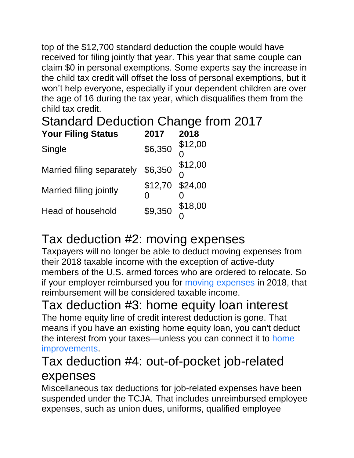top of the \$12,700 standard deduction the couple would have received for filing jointly that year. This year that same couple can claim \$0 in personal exemptions. Some experts say the increase in the child tax credit will offset the loss of personal exemptions, but it won't help everyone, especially if your dependent children are over the age of 16 during the tax year, which disqualifies them from the child tax credit.

### Standard Deduction Change from 2017 **Your Filing Status 2017 2018**

| Single                    | \$6,350         | \$12,00 |
|---------------------------|-----------------|---------|
| Married filing separately | \$6,350         | \$12,00 |
| Married filing jointly    | \$12,70 \$24,00 |         |
| Head of household         | \$9,350         | \$18,00 |

# Tax deduction #2: moving expenses

Taxpayers will no longer be able to deduct moving expenses from their 2018 taxable income with the exception of active-duty members of the U.S. armed forces who are ordered to relocate. So if your employer reimbursed you for [moving expenses](https://www.valuepenguin.com/how-much-does-it-cost-move) in 2018, that reimbursement will be considered taxable income.

## Tax deduction #3: home equity loan interest

The home equity line of credit interest deduction is gone. That means if you have an existing home equity loan, you can't deduct the interest from your taxes—unless you can connect it to [home](https://www.valuepenguin.com/mortgages/how-do-home-renovation-loans-work)  [improvements.](https://www.valuepenguin.com/mortgages/how-do-home-renovation-loans-work)

### Tax deduction #4: out-of-pocket job-related expenses

Miscellaneous tax deductions for job-related expenses have been suspended under the TCJA. That includes unreimbursed employee expenses, such as union dues, uniforms, qualified employee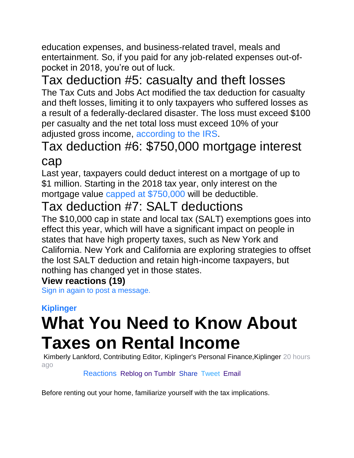education expenses, and business-related travel, meals and entertainment. So, if you paid for any job-related expenses out-ofpocket in 2018, you're out of luck.

# Tax deduction #5: casualty and theft losses

The Tax Cuts and Jobs Act modified the tax deduction for casualty and theft losses, limiting it to only taxpayers who suffered losses as a result of a federally-declared disaster. The loss must exceed \$100 per casualty and the net total loss must exceed 10% of your adjusted gross income, [according to the IRS.](https://www.irs.gov/pub/irs-pdf/p5307.pdf)

## Tax deduction #6: \$750,000 mortgage interest cap

Last year, taxpayers could deduct interest on a mortgage of up to \$1 million. Starting in the 2018 tax year, only interest on the mortgage value [capped at \\$750,000](https://www.valuepenguin.com/mortgages/mortgage-interest-deduction-2018) will be deductible.

### Tax deduction #7: SALT deductions

The \$10,000 cap in state and local tax (SALT) exemptions goes into effect this year, which will have a significant impact on people in states that have high property taxes, such as New York and California. New York and California are exploring strategies to offset the lost SALT deduction and retain high-income taxpayers, but nothing has changed yet in those states.

#### **View reactions (19)**

[Sign in again to post a message.](https://login.yahoo.com/?.intl=us&.lang=en-US&.done=https%3A%2F%2Ffinance.yahoo.com%2Fnews%2Fguide-years-tax-deduction-changes-194913779.html%3Fbcmt%3D1)

# **Kiplinger What You Need to Know About Taxes on Rental Income**

[K](http://portal.kiplinger.com/)imberly Lankford, Contributing Editor, Kiplinger's Personal Finance,Kiplinger 20 hours ago

#### Reactions Reblog [on Tumblr](https://www.tumblr.com/widgets/share/tool?shareSource=legacy&canonicalUrl=&posttype=link&url=https%3A%2F%2Ffinance.yahoo.com%2Fnews%2Fknow-taxes-rental-income-041909115.html&title=What%20You%20Need%20to%20Know%20About%20Taxes%20on%20Rental%20Income) [Share](https://www.facebook.com/dialog/feed?app_id=90376669494&link=https%3A%2F%2Fwww.yahoo.com%2Ffinance%2Fnews%2Fknow-taxes-rental-income-041909115.html%3F.tsrc%3Dfauxdal&name=What%20You%20Need%20to%20Know%20About%20Taxes%20on%20Rental%20Income&tsrc=fb) [Tweet](https://twitter.com/intent/tweet?text=What%20You%20Need%20to%20Know%20About%20Taxes%20on%20Rental%20Income&url=https%3A%2F%2Fwww.yahoo.com%2Ffinance%2Fnews%2Fknow-taxes-rental-income-041909115.html%3F.tsrc%3Dfauxdal&tsrc=twtr) [Email](mailto:?subject=What%20You%20Need%20to%20Know%20About%20Taxes%20on%20Rental%20Income&body=https%3A%2F%2Fwww.yahoo.com%2Ffinance%2Fnews%2Fknow-taxes-rental-income-041909115.html%3F.tsrc%3Dfauxdal&.tsrc=fauxdal)

Before renting out your home, familiarize yourself with the tax implications.